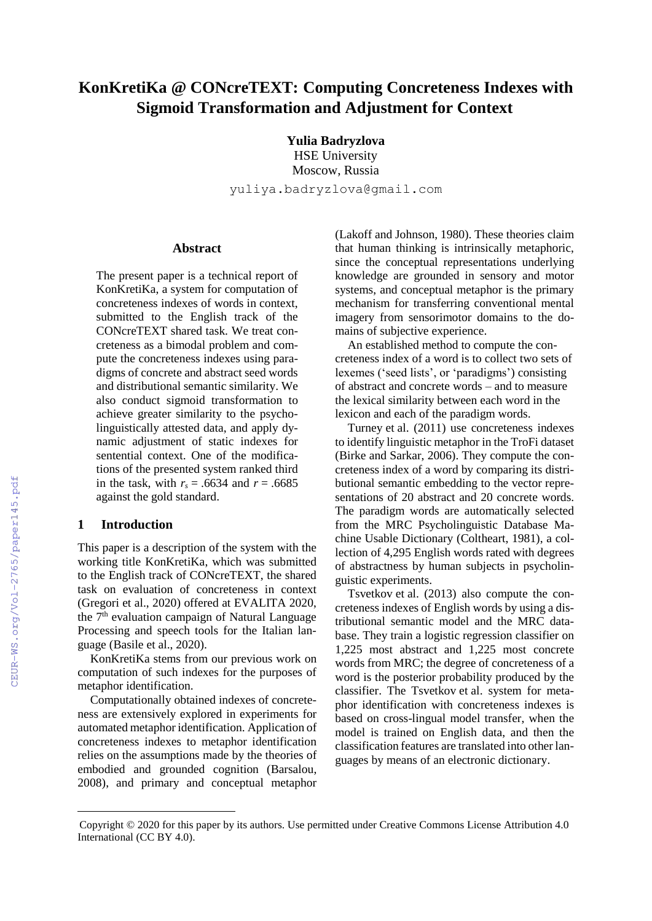# **KonKretiKa @ CONcreTEXT: Computing Concreteness Indexes with Sigmoid Transformation and Adjustment for Context**

**Yulia Badryzlova** HSE University Moscow, Russia yuliya.badryzlova@gmail.com

# **Abstract**

The present paper is a technical report of KonKretiKa, a system for computation of concreteness indexes of words in context, submitted to the English track of the CONcreTEXT shared task. We treat concreteness as a bimodal problem and compute the concreteness indexes using paradigms of concrete and abstract seed words and distributional semantic similarity. We also conduct sigmoid transformation to achieve greater similarity to the psycholinguistically attested data, and apply dynamic adjustment of static indexes for sentential context. One of the modifications of the presented system ranked third in the task, with  $r_s = .6634$  and  $r = .6685$ against the gold standard.

# **1 Introduction**

This paper is a description of the system with the working title KonKretiKa, which was submitted to the English track of CONcreTEXT, the shared task on evaluation of concreteness in context (Gregori et al., 2020) offered at EVALITA 2020, the  $7<sup>th</sup>$  evaluation campaign of Natural Language Processing and speech tools for the Italian language (Basile et al., 2020).

KonKretiKa stems from our previous work on computation of such indexes for the purposes of metaphor identification.

Computationally obtained indexes of concreteness are extensively explored in experiments for automated metaphor identification. Application of concreteness indexes to metaphor identification relies on the assumptions made by the theories of embodied and grounded cognition (Barsalou, 2008), and primary and conceptual metaphor

(Lakoff and Johnson, 1980). These theories claim that human thinking is intrinsically metaphoric, since the conceptual representations underlying knowledge are grounded in sensory and motor systems, and conceptual metaphor is the primary mechanism for transferring conventional mental imagery from sensorimotor domains to the domains of subjective experience.

An established method to compute the concreteness index of a word is to collect two sets of lexemes ('seed lists', or 'paradigms') consisting of abstract and concrete words – and to measure the lexical similarity between each word in the lexicon and each of the paradigm words.

Turney et al. (2011) use concreteness indexes to identify linguistic metaphor in the TroFi dataset (Birke and Sarkar, 2006). They compute the concreteness index of a word by comparing its distributional semantic embedding to the vector representations of 20 abstract and 20 concrete words. The paradigm words are automatically selected from the MRC Psycholinguistic Database Machine Usable Dictionary (Coltheart, 1981), a collection of 4,295 English words rated with degrees of abstractness by human subjects in psycholinguistic experiments.

Tsvetkov et al. (2013) also compute the concreteness indexes of English words by using a distributional semantic model and the MRC database. They train a logistic regression classifier on 1,225 most abstract and 1,225 most concrete words from MRC; the degree of concreteness of a word is the posterior probability produced by the classifier. The Tsvetkov et al. system for metaphor identification with concreteness indexes is based on cross-lingual model transfer, when the model is trained on English data, and then the classification features are translated into other languages by means of an electronic dictionary.

Copyright © 2020 for this paper by its authors. Use permitted under Creative Commons License Attribution 4.0 International (CC BY 4.0).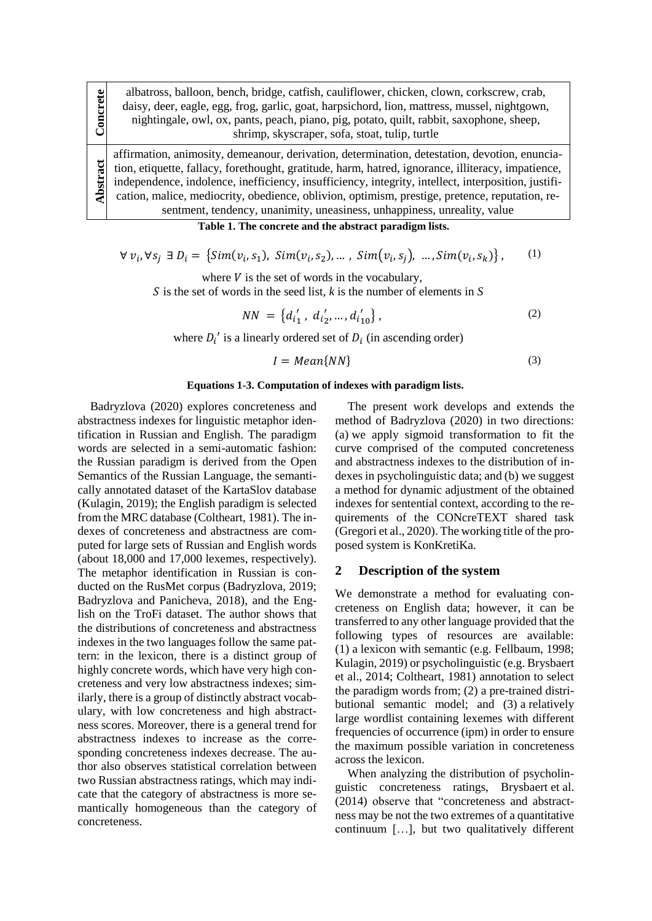albatross, balloon, bench, bridge, catfish, cauliflower, chicken, clown, corkscrew, crab, daisy, deer, eagle, egg, frog, garlic, goat, harpsichord, lion, mattress, mussel, nightgown, nightingale, owl, ox, pants, peach, piano, pig, potato, quilt, rabbit, saxophone, sheep, shrimp, skyscraper, sofa, stoat, tulip, turtle

affirmation, animosity, demeanour, derivation, determination, detestation, devotion, enunciation, etiquette, fallacy, forethought, gratitude, harm, hatred, ignorance, illiteracy, impatience, independence, indolence, inefficiency, insufficiency, integrity, intellect, interposition, justification, malice, mediocrity, obedience, oblivion, optimism, prestige, pretence, reputation, resentment, tendency, unanimity, uneasiness, unhappiness, unreality, value

**Table 1. The concrete and the abstract paradigm lists.**

∀  $v_i$ ,∀s<sub>j</sub> ∃  $D_i = \{Sim(v_i, s_1), \; Sim(v_i, s_2), \dots, \; Sim(v_i, s_j), \; \dots, \; Sim(v_i, s_k)\},\}$ (1)

where  $V$  is the set of words in the vocabulary,

S is the set of words in the seed list, *k* is the number of elements in S

$$
NN = \left\{ d_{i_1}^{'}, d_{i_2}^{'}, ..., d_{i_{10}}^{'} \right\},\tag{2}
$$

where  $D_i'$  is a linearly ordered set of  $D_i$  (in ascending order)

$$
I = Mean\{NN\} \tag{3}
$$

# **Equations 1-3. Computation of indexes with paradigm lists.**

Badryzlova (2020) explores concreteness and abstractness indexes for linguistic metaphor identification in Russian and English. The paradigm words are selected in a semi-automatic fashion: the Russian paradigm is derived from the Open Semantics of the Russian Language, the semantically annotated dataset of the KartaSlov database (Kulagin, 2019); the English paradigm is selected from the MRC database (Coltheart, 1981). The indexes of concreteness and abstractness are computed for large sets of Russian and English words (about 18,000 and 17,000 lexemes, respectively). The metaphor identification in Russian is conducted on the RusMet corpus (Badryzlova, 2019; Badryzlova and Panicheva, 2018), and the English on the TroFi dataset. The author shows that the distributions of concreteness and abstractness indexes in the two languages follow the same pattern: in the lexicon, there is a distinct group of highly concrete words, which have very high concreteness and very low abstractness indexes; similarly, there is a group of distinctly abstract vocabulary, with low concreteness and high abstractness scores. Moreover, there is a general trend for abstractness indexes to increase as the corresponding concreteness indexes decrease. The author also observes statistical correlation between two Russian abstractness ratings, which may indicate that the category of abstractness is more semantically homogeneous than the category of concreteness.

**Concrete**

**Abstract**

The present work develops and extends the method of Badryzlova (2020) in two directions: (a) we apply sigmoid transformation to fit the curve comprised of the computed concreteness and abstractness indexes to the distribution of indexes in psycholinguistic data; and (b) we suggest a method for dynamic adjustment of the obtained indexes for sentential context, according to the requirements of the CONcreTEXT shared task (Gregori et al., 2020). The working title of the proposed system is KonKretiKa.

#### **2 Description of the system**

We demonstrate a method for evaluating concreteness on English data; however, it can be transferred to any other language provided that the following types of resources are available: (1) a lexicon with semantic (e.g. Fellbaum, 1998; Kulagin, 2019) or psycholinguistic (e.g. Brysbaert et al., 2014; Coltheart, 1981) annotation to select the paradigm words from; (2) a pre-trained distributional semantic model; and (3) a relatively large wordlist containing lexemes with different frequencies of occurrence (ipm) in order to ensure the maximum possible variation in concreteness across the lexicon.

When analyzing the distribution of psycholinguistic concreteness ratings, Brysbaert et al. (2014) observe that "concreteness and abstractness may be not the two extremes of a quantitative continuum […], but two qualitatively different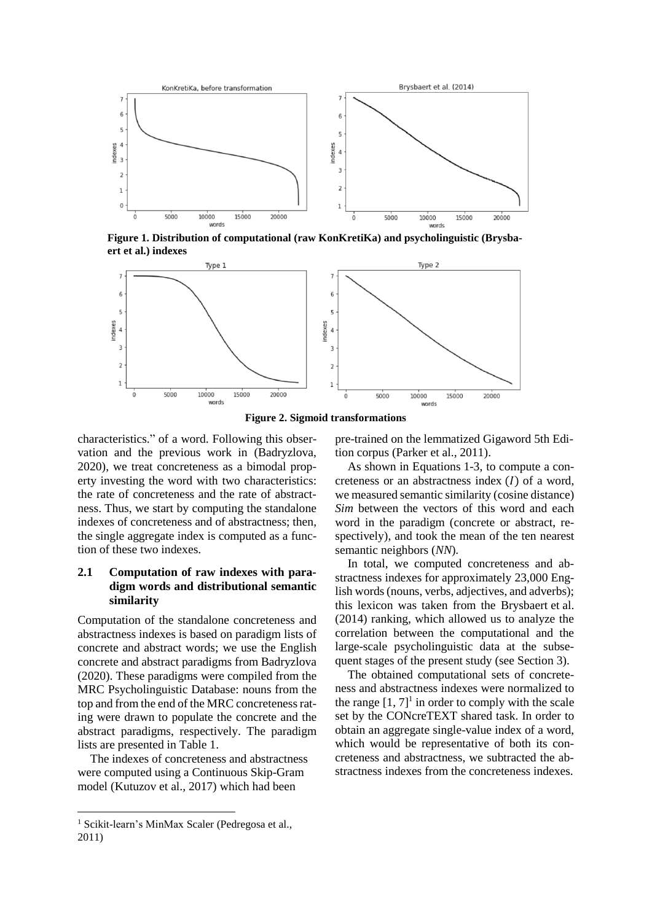

**Figure 1. Distribution of computational (raw KonKretiKa) and psycholinguistic (Brysbaert et al.) indexes**



**Figure 2. Sigmoid transformations**

characteristics." of a word. Following this observation and the previous work in (Badryzlova, 2020), we treat concreteness as a bimodal property investing the word with two characteristics: the rate of concreteness and the rate of abstractness. Thus, we start by computing the standalone indexes of concreteness and of abstractness; then, the single aggregate index is computed as a function of these two indexes.

# **2.1 Computation of raw indexes with paradigm words and distributional semantic similarity**

Computation of the standalone concreteness and abstractness indexes is based on paradigm lists of concrete and abstract words; we use the English concrete and abstract paradigms from Badryzlova (2020). These paradigms were compiled from the MRC Psycholinguistic Database: nouns from the top and from the end of the MRC concreteness rating were drawn to populate the concrete and the abstract paradigms, respectively. The paradigm lists are presented in Table 1.

The indexes of concreteness and abstractness were computed using a Continuous Skip-Gram model (Kutuzov et al., 2017) which had been

pre-trained on the lemmatized Gigaword 5th Edition corpus (Parker et al., 2011).

As shown in Equations 1-3, to compute a concreteness or an abstractness index  $(I)$  of a word, we measured semantic similarity (cosine distance) *Sim* between the vectors of this word and each word in the paradigm (concrete or abstract, respectively), and took the mean of the ten nearest semantic neighbors (*NN*).

In total, we computed concreteness and abstractness indexes for approximately 23,000 English words (nouns, verbs, adjectives, and adverbs); this lexicon was taken from the Brysbaert et al. (2014) ranking, which allowed us to analyze the correlation between the computational and the large-scale psycholinguistic data at the subsequent stages of the present study (see Section 3).

The obtained computational sets of concreteness and abstractness indexes were normalized to the range  $[1, 7]$ <sup>1</sup> in order to comply with the scale set by the CONcreTEXT shared task. In order to obtain an aggregate single-value index of a word, which would be representative of both its concreteness and abstractness, we subtracted the abstractness indexes from the concreteness indexes.

<sup>1</sup> Scikit-learn's MinMax Scaler (Pedregosa et al., 2011)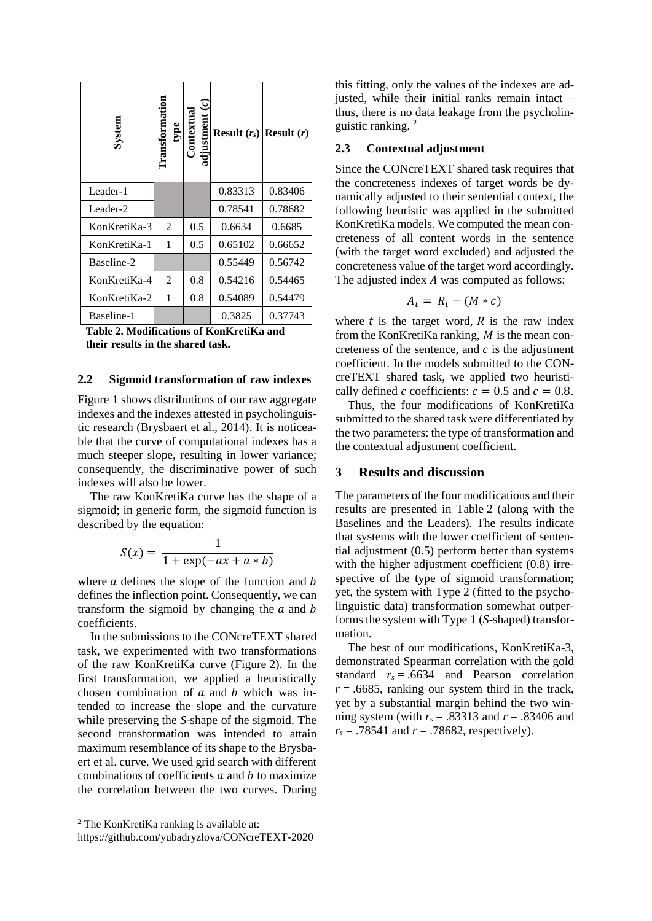| System       | Transformation | $\mathop{\rm isiment}\nolimits(c)$<br>ıtextua<br>adiu | <b>Result</b> $(r_s)$ | <b>Result</b> $(r)$ |
|--------------|----------------|-------------------------------------------------------|-----------------------|---------------------|
| Leader-1     |                |                                                       | 0.83313               | 0.83406             |
| Leader-2     |                |                                                       | 0.78541               | 0.78682             |
| KonKretiKa-3 | 2              | 0.5                                                   | 0.6634                | 0.6685              |
| KonKretiKa-1 | 1              | 0.5                                                   | 0.65102               | 0.66652             |
| Baseline-2   |                |                                                       | 0.55449               | 0.56742             |
| KonKretiKa-4 | 2              | 0.8                                                   | 0.54216               | 0.54465             |
| KonKretiKa-2 | 1              | 0.8                                                   | 0.54089               | 0.54479             |
| Baseline-1   |                |                                                       | 0.3825                | 0.37743             |

**Table 2. Modifications of KonKretiKa and their results in the shared task.**

# **2.2 Sigmoid transformation of raw indexes**

Figure 1 shows distributions of our raw aggregate indexes and the indexes attested in psycholinguistic research (Brysbaert et al., 2014). It is noticeable that the curve of computational indexes has a much steeper slope, resulting in lower variance; consequently, the discriminative power of such indexes will also be lower.

The raw KonKretiKa curve has the shape of a sigmoid; in generic form, the sigmoid function is described by the equation:

$$
S(x) = \frac{1}{1 + \exp(-ax + a * b)}
$$

where  $\alpha$  defines the slope of the function and  $\beta$ defines the inflection point. Consequently, we can transform the sigmoid by changing the  $a$  and  $b$ coefficients.

In the submissions to the CONcreTEXT shared task, we experimented with two transformations of the raw KonKretiKa curve (Figure 2). In the first transformation, we applied a heuristically chosen combination of  $\alpha$  and  $\beta$  which was intended to increase the slope and the curvature while preserving the *S*-shape of the sigmoid. The second transformation was intended to attain maximum resemblance of its shape to the Brysbaert et al. curve. We used grid search with different combinations of coefficients  $a$  and  $b$  to maximize the correlation between the two curves. During

this fitting, only the values of the indexes are adjusted, while their initial ranks remain intact – thus, there is no data leakage from the psycholinguistic ranking. <sup>2</sup>

#### **2.3 Contextual adjustment**

Since the CONcreTEXT shared task requires that the concreteness indexes of target words be dynamically adjusted to their sentential context, the following heuristic was applied in the submitted KonKretiKa models. We computed the mean concreteness of all content words in the sentence (with the target word excluded) and adjusted the concreteness value of the target word accordingly. The adjusted index  $A$  was computed as follows:

$$
A_t = R_t - (M * c)
$$

where  $t$  is the target word,  $R$  is the raw index from the KonKretiKa ranking,  $M$  is the mean concreteness of the sentence, and  $c$  is the adjustment coefficient. In the models submitted to the CONcreTEXT shared task, we applied two heuristically defined c coefficients:  $c = 0.5$  and  $c = 0.8$ .

Thus, the four modifications of KonKretiKa submitted to the shared task were differentiated by the two parameters: the type of transformation and the contextual adjustment coefficient.

# **3 Results and discussion**

The parameters of the four modifications and their results are presented in Table 2 (along with the Baselines and the Leaders). The results indicate that systems with the lower coefficient of sentential adjustment (0.5) perform better than systems with the higher adjustment coefficient  $(0.8)$  irrespective of the type of sigmoid transformation; yet, the system with Type 2 (fitted to the psycholinguistic data) transformation somewhat outperforms the system with Type 1 (*S*-shaped) transformation.

The best of our modifications, KonKretiKa-3, demonstrated Spearman correlation with the gold standard  $r_s = .6634$  and Pearson correlation  $r = .6685$ , ranking our system third in the track, yet by a substantial margin behind the two winning system (with *r<sup>s</sup>* = .83313 and *r* = .83406 and  $r_s$  = .78541 and *r* = .78682, respectively).

<sup>2</sup> The KonKretiKa ranking is available at:

https://github.com/yubadryzlova/CONcreTEXT-2020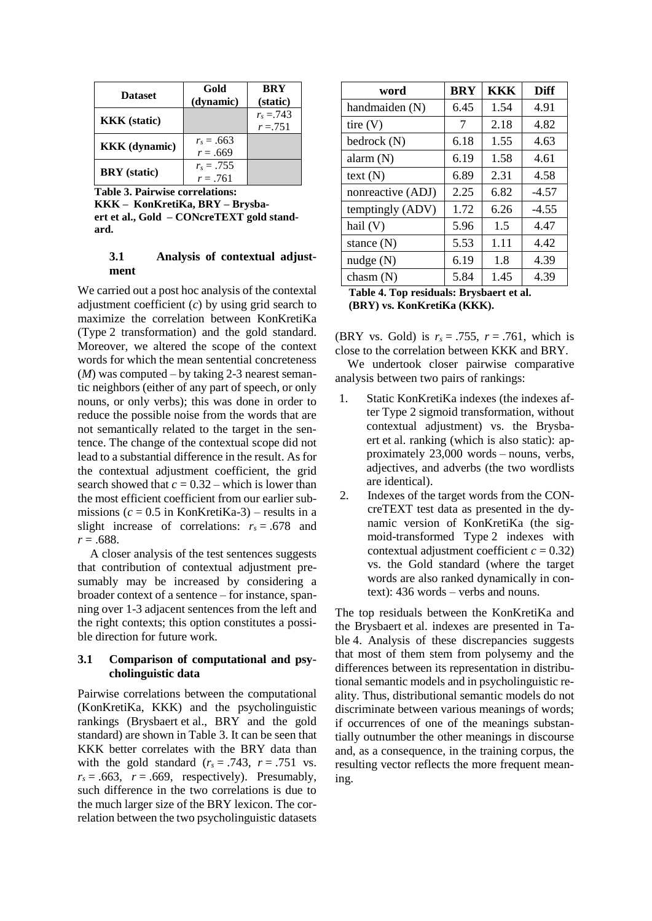| <b>Dataset</b>       | Gold<br>(dynamic)          | <b>BRY</b><br>(static)   |
|----------------------|----------------------------|--------------------------|
| <b>KKK</b> (static)  |                            | $r_s = 743$<br>$r = 751$ |
| <b>KKK</b> (dynamic) | $r_s = .663$<br>$r = .669$ |                          |
| <b>BRY</b> (static)  | $r_s = .755$<br>$r = .761$ |                          |

**Table 3. Pairwise correlations:** 

**KKK – KonKretiKa, BRY – Brysbaert et al., Gold – CONcreTEXT gold standard.**

### **3.1 Analysis of contextual adjustment**

We carried out a post hoc analysis of the contextal adjustment coefficient (*c*) by using grid search to maximize the correlation between KonKretiKa (Type 2 transformation) and the gold standard. Moreover, we altered the scope of the context words for which the mean sentential concreteness (*M*) was computed – by taking 2-3 nearest semantic neighbors (either of any part of speech, or only nouns, or only verbs); this was done in order to reduce the possible noise from the words that are not semantically related to the target in the sentence. The change of the contextual scope did not lead to a substantial difference in the result. As for the contextual adjustment coefficient, the grid search showed that  $c = 0.32$  – which is lower than the most efficient coefficient from our earlier submissions ( $c = 0.5$  in KonKretiKa-3) – results in a slight increase of correlations:  $r<sub>s</sub> = .678$  and *r* = .688.

A closer analysis of the test sentences suggests that contribution of contextual adjustment presumably may be increased by considering a broader context of a sentence – for instance, spanning over 1-3 adjacent sentences from the left and the right contexts; this option constitutes a possible direction for future work.

# **3.1 Comparison of computational and psycholinguistic data**

Pairwise correlations between the computational (KonKretiKa, KKK) and the psycholinguistic rankings (Brysbaert et al., BRY and the gold standard) are shown in Table 3. It can be seen that KKK better correlates with the BRY data than with the gold standard  $(r_s = .743, r = .751$  vs.  $r<sub>s</sub> = .663$ ,  $r = .669$ , respectively). Presumably, such difference in the two correlations is due to the much larger size of the BRY lexicon. The correlation between the two psycholinguistic datasets

| word              | <b>BRY</b> | KKK  | <b>Diff</b> |
|-------------------|------------|------|-------------|
| handmaiden (N)    | 6.45       | 1.54 | 4.91        |
| tire(V)           | 7          | 2.18 | 4.82        |
| bedrock $(N)$     | 6.18       | 1.55 | 4.63        |
| alarm $(N)$       | 6.19       | 1.58 | 4.61        |
| text (N)          | 6.89       | 2.31 | 4.58        |
| nonreactive (ADJ) | 2.25       | 6.82 | $-4.57$     |
| temptingly (ADV)  | 1.72       | 6.26 | $-4.55$     |
| hail $(V)$        | 5.96       | 1.5  | 4.47        |
| stance $(N)$      | 5.53       | 1.11 | 4.42        |
| nudge(N)          | 6.19       | 1.8  | 4.39        |
| chasm $(N)$       | 5.84       | 1.45 | 4.39        |

**Table 4. Top residuals: Brysbaert et al. (BRY) vs. KonKretiKa (KKK).**

(BRY vs. Gold) is  $r_s = .755$ ,  $r = .761$ , which is close to the correlation between KKK and BRY.

We undertook closer pairwise comparative analysis between two pairs of rankings:

- 1. Static KonKretiKa indexes (the indexes after Type 2 sigmoid transformation, without contextual adjustment) vs. the Brysbaert et al. ranking (which is also static): approximately 23,000 words – nouns, verbs, adjectives, and adverbs (the two wordlists are identical).
- 2. Indexes of the target words from the CONcreTEXT test data as presented in the dynamic version of KonKretiKa (the sigmoid-transformed Type 2 indexes with contextual adjustment coefficient  $c = 0.32$ ) vs. the Gold standard (where the target words are also ranked dynamically in context): 436 words – verbs and nouns.

The top residuals between the KonKretiKa and the Brysbaert et al. indexes are presented in Table 4. Analysis of these discrepancies suggests that most of them stem from polysemy and the differences between its representation in distributional semantic models and in psycholinguistic reality. Thus, distributional semantic models do not discriminate between various meanings of words; if occurrences of one of the meanings substantially outnumber the other meanings in discourse and, as a consequence, in the training corpus, the resulting vector reflects the more frequent meaning.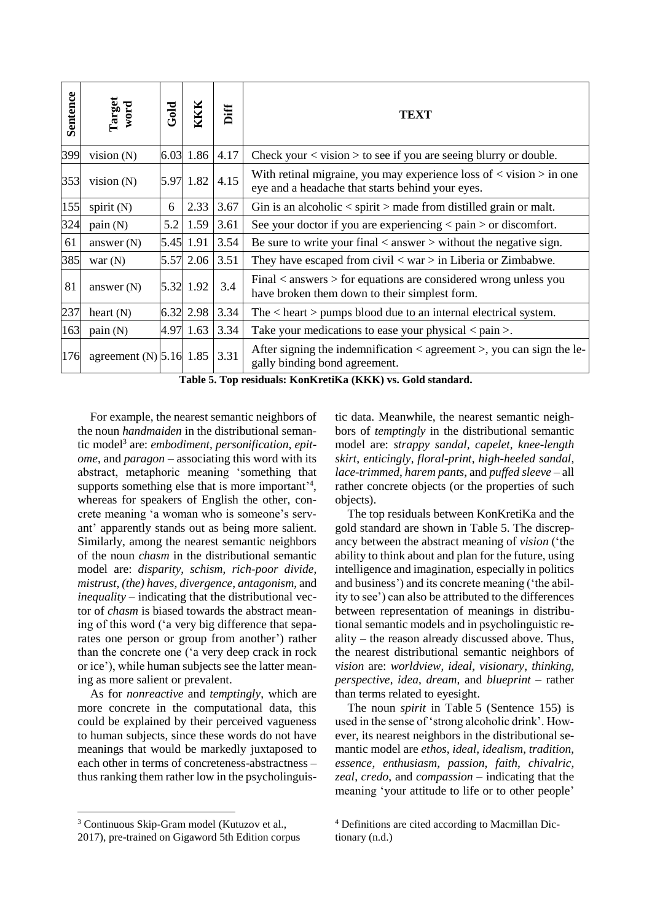| Sentence | Target<br>word            | Gold | KKK           | Diff | <b>TEXT</b>                                                                                                                             |
|----------|---------------------------|------|---------------|------|-----------------------------------------------------------------------------------------------------------------------------------------|
| 399      | vision $(N)$              |      | 6.03 1.86     | 4.17 | Check your $\langle$ vision $\rangle$ to see if you are seeing blurry or double.                                                        |
| 353      | vision $(N)$              |      | 5.97 1.82     | 4.15 | With retinal migraine, you may experience loss of $\langle$ vision $\rangle$ in one<br>eye and a headache that starts behind your eyes. |
| 155      | spirit $(N)$              | 6    | 2.33          | 3.67 | Gin is an alcoholic $\langle$ spirit $\rangle$ made from distilled grain or malt.                                                       |
| 324      | pain(N)                   | 5.2  | 1.59          | 3.61 | See your doctor if you are experiencing $\langle$ pain $\rangle$ or discomfort.                                                         |
| 61       | answer $(N)$              |      | $ 5.45 $ 1.91 | 3.54 | Be sure to write your final $\langle$ answer $\rangle$ without the negative sign.                                                       |
| 385      | war $(N)$                 |      | 5.57 2.06     | 3.51 | They have escaped from civil $\langle \text{war} \rangle$ in Liberia or Zimbabwe.                                                       |
| 81       | answer $(N)$              |      | 5.32 1.92     | 3.4  | Final $\langle$ answers $\rangle$ for equations are considered wrong unless you<br>have broken them down to their simplest form.        |
| 237      | heart $(N)$               |      | 6.32 2.98     | 3.34 | The $\langle$ heart $\rangle$ pumps blood due to an internal electrical system.                                                         |
| 163      | pain(N)                   |      | 4.97 1.63     | 3.34 | Take your medications to ease your physical $\langle$ pain $\rangle$ .                                                                  |
| 176      | agreement $(N)$ 5.16 1.85 |      |               | 3.31 | After signing the indemnification $\langle$ agreement $\rangle$ , you can sign the le-<br>gally binding bond agreement.                 |

**Table 5. Top residuals: KonKretiKa (KKK) vs. Gold standard.**

For example, the nearest semantic neighbors of the noun *handmaiden* in the distributional semantic model<sup>3</sup> are: *embodiment*, *personification*, *epitome*, and *paragon* – associating this word with its abstract, metaphoric meaning 'something that supports something else that is more important $^{\prime 4}$ , whereas for speakers of English the other, concrete meaning 'a woman who is someone's servant' apparently stands out as being more salient. Similarly, among the nearest semantic neighbors of the noun *chasm* in the distributional semantic model are: *disparity*, *schism*, *rich-poor divide*, *mistrust*, *(the) haves*, *divergence*, *antagonism*, and *inequality* – indicating that the distributional vector of *chasm* is biased towards the abstract meaning of this word ('a very big difference that separates one person or group from another') rather than the concrete one ('a very deep crack in rock or ice'), while human subjects see the latter meaning as more salient or prevalent.

As for *nonreactive* and *temptingly*, which are more concrete in the computational data, this could be explained by their perceived vagueness to human subjects, since these words do not have meanings that would be markedly juxtaposed to each other in terms of concreteness-abstractness – thus ranking them rather low in the psycholinguistic data. Meanwhile, the nearest semantic neighbors of *temptingly* in the distributional semantic model are: *strappy sandal*, *capelet*, *knee-length skirt*, *enticingly*, *floral-print*, *high-heeled sandal*, *lace-trimmed*, *harem pants*, and *puffed sleeve* – all rather concrete objects (or the properties of such objects).

The top residuals between KonKretiKa and the gold standard are shown in Table 5. The discrepancy between the abstract meaning of *vision* ('the ability to think about and plan for the future, using intelligence and imagination, especially in politics and business') and its concrete meaning ('the ability to see') can also be attributed to the differences between representation of meanings in distributional semantic models and in psycholinguistic reality – the reason already discussed above. Thus, the nearest distributional semantic neighbors of *vision* are: *worldview*, *ideal*, *visionary*, *thinking*, *perspective*, *idea*, *dream*, and *blueprint* – rather than terms related to eyesight.

The noun *spirit* in Table 5 (Sentence 155) is used in the sense of 'strong alcoholic drink'. However, its nearest neighbors in the distributional semantic model are *ethos*, *ideal*, *idealism*, *tradition*, *essence*, *enthusiasm*, *passion*, *faith*, *chivalric*, *zeal*, *credo*, and *compassion* – indicating that the meaning 'your attitude to life or to other people'

<sup>&</sup>lt;sup>3</sup> Continuous Skip-Gram model (Kutuzov et al.,

<sup>2017),</sup> pre-trained on Gigaword 5th Edition corpus

<sup>4</sup> Definitions are cited according to Macmillan Dictionary (n.d.)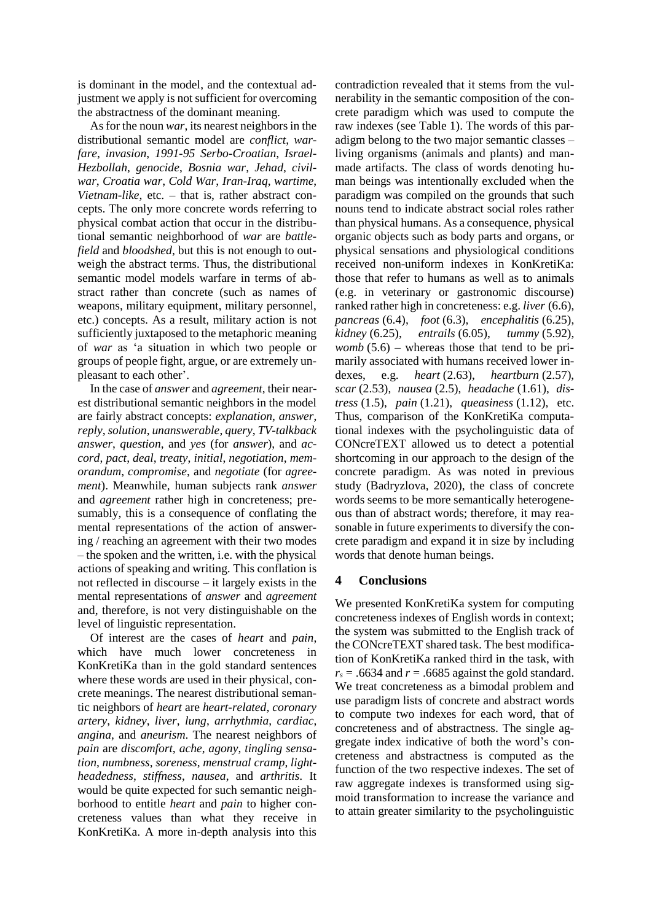is dominant in the model, and the contextual adjustment we apply is not sufficient for overcoming the abstractness of the dominant meaning.

As for the noun *war*, its nearest neighbors in the distributional semantic model are *conflict*, *warfare*, *invasion*, *1991-95 Serbo-Croatian*, *Israel-Hezbollah*, *genocide*, *Bosnia war*, *Jehad*, *civilwar*, *Croatia war*, *Cold War*, *Iran-Iraq*, *wartime*, *Vietnam-like*, etc. – that is, rather abstract concepts. The only more concrete words referring to physical combat action that occur in the distributional semantic neighborhood of *war* are *battlefield* and *bloodshed*, but this is not enough to outweigh the abstract terms. Thus, the distributional semantic model models warfare in terms of abstract rather than concrete (such as names of weapons, military equipment, military personnel, etc.) concepts. As a result, military action is not sufficiently juxtaposed to the metaphoric meaning of *war* as 'a situation in which two people or groups of people fight, argue, or are extremely unpleasant to each other'.

In the case of *answer* and *agreement*, their nearest distributional semantic neighbors in the model are fairly abstract concepts: *explanation*, *answer*, *reply*, *solution*, *unanswerable*, *query*, *TV-talkback answer*, *question*, and *yes* (for *answer*), and *accord*, *pact*, *deal*, *treaty*, *initial*, *negotiation*, *memorandum*, *compromise*, and *negotiate* (for *agreement*). Meanwhile, human subjects rank *answer* and *agreement* rather high in concreteness; presumably, this is a consequence of conflating the mental representations of the action of answering / reaching an agreement with their two modes – the spoken and the written, i.e. with the physical actions of speaking and writing. This conflation is not reflected in discourse – it largely exists in the mental representations of *answer* and *agreement* and, therefore, is not very distinguishable on the level of linguistic representation.

Of interest are the cases of *heart* and *pain*, which have much lower concreteness in KonKretiKa than in the gold standard sentences where these words are used in their physical, concrete meanings. The nearest distributional semantic neighbors of *heart* are *heart-related*, *coronary artery*, *kidney*, *liver*, *lung*, *arrhythmia*, *cardiac*, *angina*, and *aneurism*. The nearest neighbors of *pain* are *discomfort*, *ache*, *agony*, *tingling sensation*, *numbness*, *soreness*, *menstrual cramp*, *lightheadedness*, *stiffness*, *nausea*, and *arthritis*. It would be quite expected for such semantic neighborhood to entitle *heart* and *pain* to higher concreteness values than what they receive in KonKretiKa. A more in-depth analysis into this contradiction revealed that it stems from the vulnerability in the semantic composition of the concrete paradigm which was used to compute the raw indexes (see Table 1). The words of this paradigm belong to the two major semantic classes – living organisms (animals and plants) and manmade artifacts. The class of words denoting human beings was intentionally excluded when the paradigm was compiled on the grounds that such nouns tend to indicate abstract social roles rather than physical humans. As a consequence, physical organic objects such as body parts and organs, or physical sensations and physiological conditions received non-uniform indexes in KonKretiKa: those that refer to humans as well as to animals (e.g. in veterinary or gastronomic discourse) ranked rather high in concreteness: e.g. *liver* (6.6), *pancreas* (6.4), *foot* (6.3), *encephalitis* (6.25), *kidney* (6.25), *entrails* (6.05), *tummy* (5.92), *womb*  $(5.6)$  – whereas those that tend to be primarily associated with humans received lower indexes, e.g. *heart* (2.63), *heartburn* (2.57), *scar* (2.53), *nausea* (2.5), *headache* (1.61), *distress* (1.5), *pain* (1.21), *queasiness* (1.12), etc. Thus, comparison of the KonKretiKa computational indexes with the psycholinguistic data of CONcreTEXT allowed us to detect a potential shortcoming in our approach to the design of the concrete paradigm. As was noted in previous study (Badryzlova, 2020), the class of concrete words seems to be more semantically heterogeneous than of abstract words; therefore, it may reasonable in future experiments to diversify the concrete paradigm and expand it in size by including words that denote human beings.

# **4 Conclusions**

We presented KonKretiKa system for computing concreteness indexes of English words in context; the system was submitted to the English track of the CONcreTEXT shared task. The best modification of KonKretiKa ranked third in the task, with  $r_s$  = .6634 and  $r$  = .6685 against the gold standard. We treat concreteness as a bimodal problem and use paradigm lists of concrete and abstract words to compute two indexes for each word, that of concreteness and of abstractness. The single aggregate index indicative of both the word's concreteness and abstractness is computed as the function of the two respective indexes. The set of raw aggregate indexes is transformed using sigmoid transformation to increase the variance and to attain greater similarity to the psycholinguistic